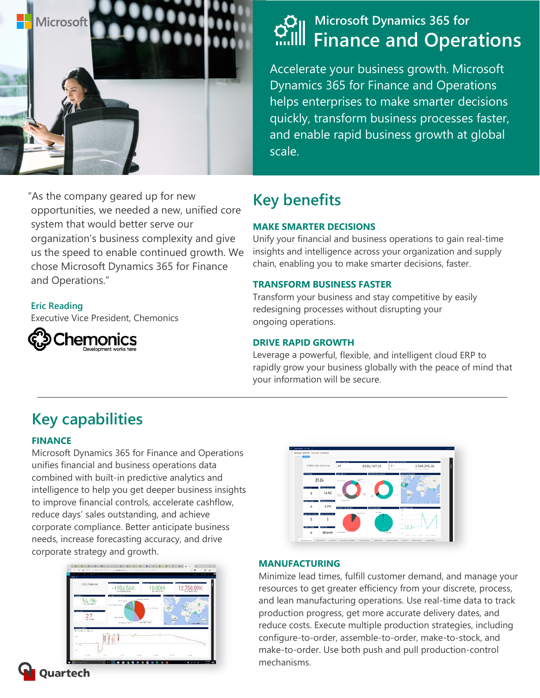

"As the company geared up for new opportunities, we needed a new, unified core system that would better serve our organization's business complexity and give us the speed to enable continued growth. We chose Microsoft Dynamics 365 for Finance and Operations."

#### **Eric Reading**

Executive Vice President, Chemonics



# **Microsoft Dynamics 365 for Finance and Operations**

Accelerate your business growth. Microsoft Dynamics 365 for Finance and Operations helps enterprises to make smarter decisions quickly, transform business processes faster, and enable rapid business growth at global scale.

# **Key benefits**

#### **MAKE SMARTER DECISIONS**

Unify your financial and business operations to gain real-time insights and intelligence across your organization and supply chain, enabling you to make smarter decisions, faster.

#### **TRANSFORM BUSINESS FASTER**

Transform your business and stay competitive by easily redesigning processes without disrupting your ongoing operations.

#### **DRIVE RAPID GROWTH**

Leverage a powerful, flexible, and intelligent cloud ERP to rapidly grow your business globally with the peace of mind that your information will be secure.

# **Key capabilities**

#### **FINANCE**

Microsoft Dynamics 365 for Finance and Operations unifies financial and business operations data combined with built-in predictive analytics and intelligence to help you get deeper business insights to improve financial controls, accelerate cashflow, reduce days' sales outstanding, and achieve corporate compliance. Better anticipate business needs, increase forecasting accuracy, and drive corporate strategy and growth.





#### **MANUFACTURING**

Minimize lead times, fulfill customer demand, and manage your resources to get greater efficiency from your discrete, process, and lean manufacturing operations. Use real-time data to track production progress, get more accurate delivery dates, and reduce costs. Execute multiple production strategies, including configure-to-order, assemble-to-order, make-to-stock, and make-to-order. Use both push and pull production-control mechanisms.